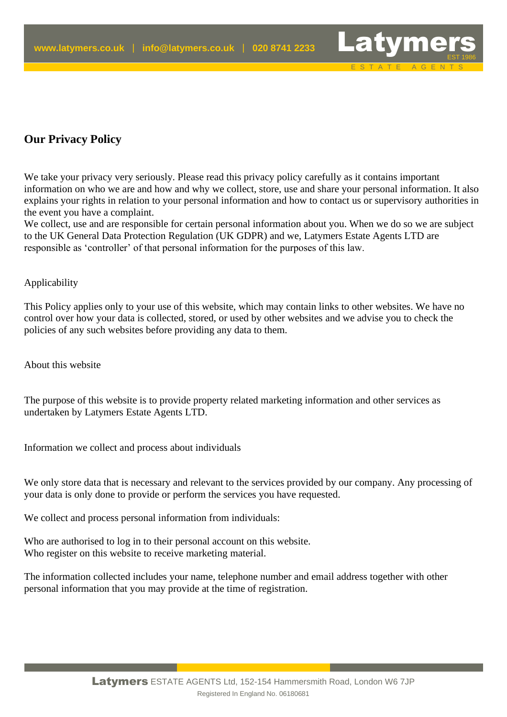## **Our Privacy Policy**

We take your privacy very seriously. Please read this privacy policy carefully as it contains important information on who we are and how and why we collect, store, use and share your personal information. It also explains your rights in relation to your personal information and how to contact us or supervisory authorities in the event you have a complaint.

E S T A T E A G E N T S

We collect, use and are responsible for certain personal information about you. When we do so we are subject to the UK General Data Protection Regulation (UK GDPR) and we, Latymers Estate Agents LTD are responsible as 'controller' of that personal information for the purposes of this law.

## Applicability

This Policy applies only to your use of this website, which may contain links to other websites. We have no control over how your data is collected, stored, or used by other websites and we advise you to check the policies of any such websites before providing any data to them.

About this website

The purpose of this website is to provide property related marketing information and other services as undertaken by Latymers Estate Agents LTD.

Information we collect and process about individuals

We only store data that is necessary and relevant to the services provided by our company. Any processing of your data is only done to provide or perform the services you have requested.

We collect and process personal information from individuals:

Who are authorised to log in to their personal account on this website. Who register on this website to receive marketing material.

The information collected includes your name, telephone number and email address together with other personal information that you may provide at the time of registration.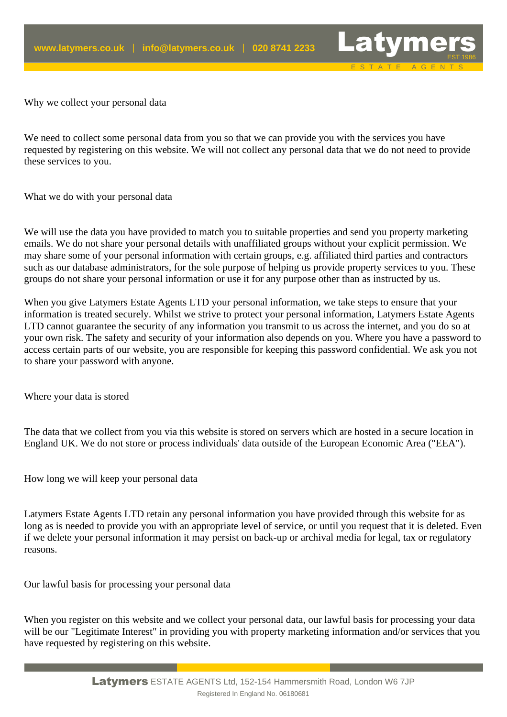

Why we collect your personal data

We need to collect some personal data from you so that we can provide you with the services you have requested by registering on this website. We will not collect any personal data that we do not need to provide these services to you.

What we do with your personal data

We will use the data you have provided to match you to suitable properties and send you property marketing emails. We do not share your personal details with unaffiliated groups without your explicit permission. We may share some of your personal information with certain groups, e.g. affiliated third parties and contractors such as our database administrators, for the sole purpose of helping us provide property services to you. These groups do not share your personal information or use it for any purpose other than as instructed by us.

When you give Latymers Estate Agents LTD your personal information, we take steps to ensure that your information is treated securely. Whilst we strive to protect your personal information, Latymers Estate Agents LTD cannot guarantee the security of any information you transmit to us across the internet, and you do so at your own risk. The safety and security of your information also depends on you. Where you have a password to access certain parts of our website, you are responsible for keeping this password confidential. We ask you not to share your password with anyone.

Where your data is stored

The data that we collect from you via this website is stored on servers which are hosted in a secure location in England UK. We do not store or process individuals' data outside of the European Economic Area ("EEA").

How long we will keep your personal data

Latymers Estate Agents LTD retain any personal information you have provided through this website for as long as is needed to provide you with an appropriate level of service, or until you request that it is deleted. Even if we delete your personal information it may persist on back-up or archival media for legal, tax or regulatory reasons.

Our lawful basis for processing your personal data

When you register on this website and we collect your personal data, our lawful basis for processing your data will be our "Legitimate Interest" in providing you with property marketing information and/or services that you have requested by registering on this website.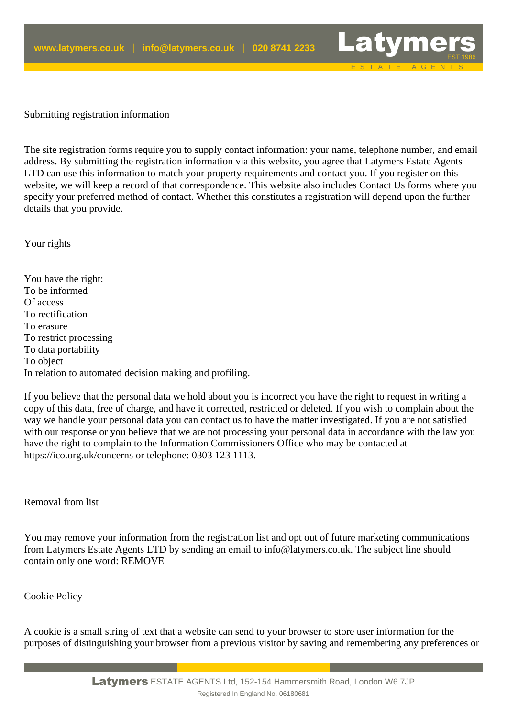Submitting registration information

The site registration forms require you to supply contact information: your name, telephone number, and email address. By submitting the registration information via this website, you agree that Latymers Estate Agents LTD can use this information to match your property requirements and contact you. If you register on this website, we will keep a record of that correspondence. This website also includes Contact Us forms where you specify your preferred method of contact. Whether this constitutes a registration will depend upon the further details that you provide.

E S T A T E A G E N T S

Your rights

You have the right: To be informed Of access To rectification To erasure To restrict processing To data portability To object In relation to automated decision making and profiling.

If you believe that the personal data we hold about you is incorrect you have the right to request in writing a copy of this data, free of charge, and have it corrected, restricted or deleted. If you wish to complain about the way we handle your personal data you can contact us to have the matter investigated. If you are not satisfied with our response or you believe that we are not processing your personal data in accordance with the law you have the right to complain to the Information Commissioners Office who may be contacted at https://ico.org.uk/concerns or telephone: 0303 123 1113.

Removal from list

You may remove your information from the registration list and opt out of future marketing communications from Latymers Estate Agents LTD by sending an email to info@latymers.co.uk. The subject line should contain only one word: REMOVE

Cookie Policy

A cookie is a small string of text that a website can send to your browser to store user information for the purposes of distinguishing your browser from a previous visitor by saving and remembering any preferences or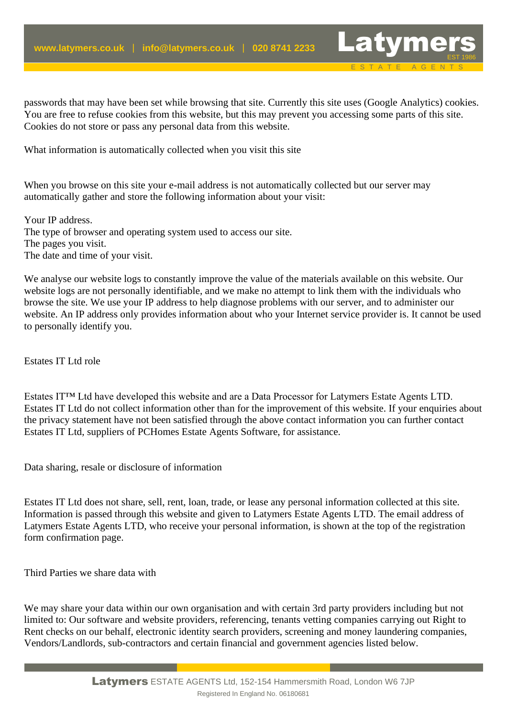passwords that may have been set while browsing that site. Currently this site uses (Google Analytics) cookies. You are free to refuse cookies from this website, but this may prevent you accessing some parts of this site. Cookies do not store or pass any personal data from this website.

E S T A T E A G E N T S

What information is automatically collected when you visit this site

When you browse on this site your e-mail address is not automatically collected but our server may automatically gather and store the following information about your visit:

Your IP address. The type of browser and operating system used to access our site. The pages you visit. The date and time of your visit.

We analyse our website logs to constantly improve the value of the materials available on this website. Our website logs are not personally identifiable, and we make no attempt to link them with the individuals who browse the site. We use your IP address to help diagnose problems with our server, and to administer our website. An IP address only provides information about who your Internet service provider is. It cannot be used to personally identify you.

Estates IT Ltd role

Estates IT™ Ltd have developed this website and are a Data Processor for Latymers Estate Agents LTD. Estates IT Ltd do not collect information other than for the improvement of this website. If your enquiries about the privacy statement have not been satisfied through the above contact information you can further contact Estates IT Ltd, suppliers of PCHomes Estate Agents Software, for assistance.

Data sharing, resale or disclosure of information

Estates IT Ltd does not share, sell, rent, loan, trade, or lease any personal information collected at this site. Information is passed through this website and given to Latymers Estate Agents LTD. The email address of Latymers Estate Agents LTD, who receive your personal information, is shown at the top of the registration form confirmation page.

Third Parties we share data with

We may share your data within our own organisation and with certain 3rd party providers including but not limited to: Our software and website providers, referencing, tenants vetting companies carrying out Right to Rent checks on our behalf, electronic identity search providers, screening and money laundering companies, Vendors/Landlords, sub-contractors and certain financial and government agencies listed below.